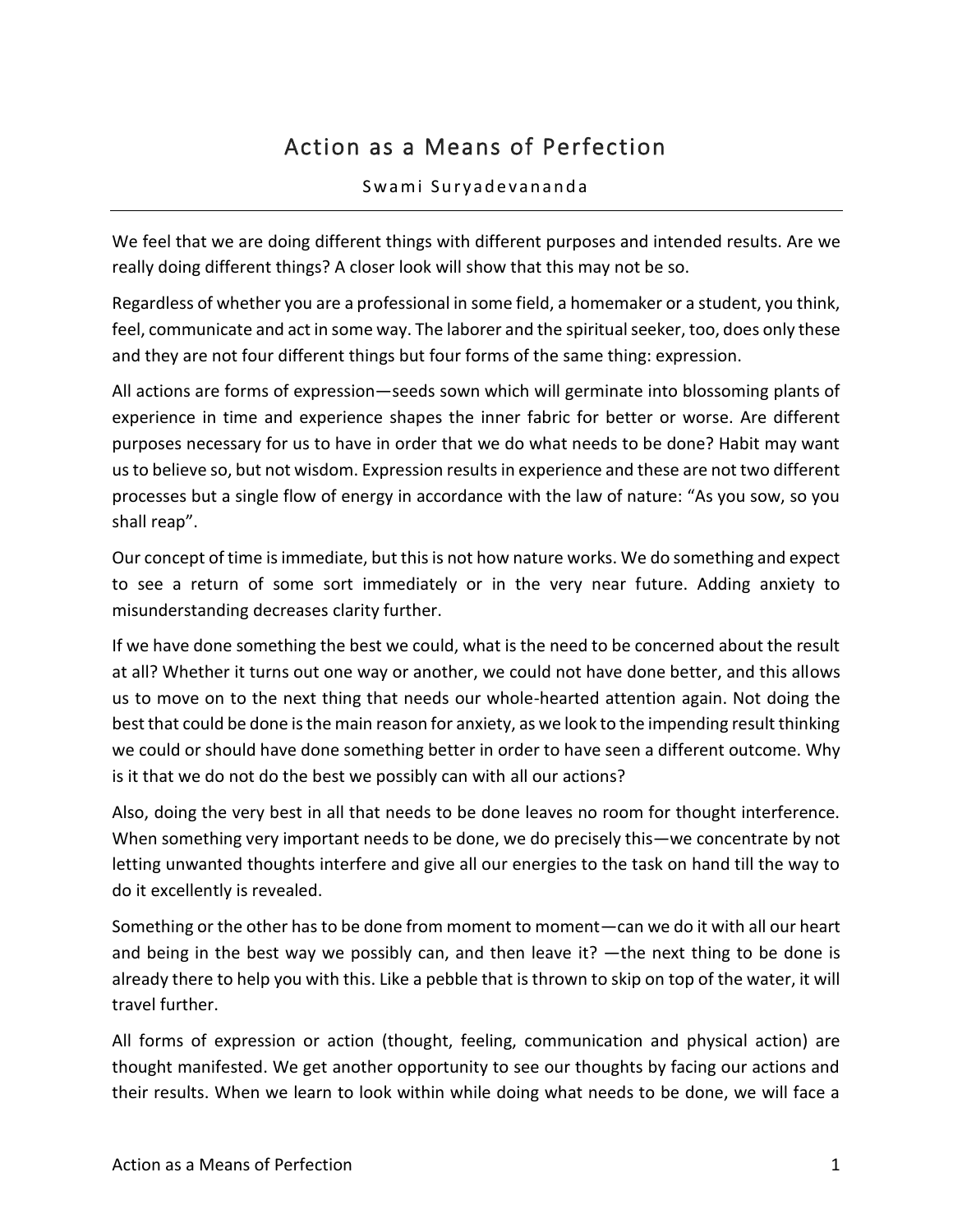## Action as a Means of Perfection

## Swami Suryadevananda

We feel that we are doing different things with different purposes and intended results. Are we really doing different things? A closer look will show that this may not be so.

Regardless of whether you are a professional in some field, a homemaker or a student, you think, feel, communicate and act in some way. The laborer and the spiritual seeker, too, does only these and they are not four different things but four forms of the same thing: expression.

All actions are forms of expression—seeds sown which will germinate into blossoming plants of experience in time and experience shapes the inner fabric for better or worse. Are different purposes necessary for us to have in order that we do what needs to be done? Habit may want us to believe so, but not wisdom. Expression results in experience and these are not two different processes but a single flow of energy in accordance with the law of nature: "As you sow, so you shall reap".

Our concept of time is immediate, but this is not how nature works. We do something and expect to see a return of some sort immediately or in the very near future. Adding anxiety to misunderstanding decreases clarity further.

If we have done something the best we could, what is the need to be concerned about the result at all? Whether it turns out one way or another, we could not have done better, and this allows us to move on to the next thing that needs our whole-hearted attention again. Not doing the best that could be done is the main reason for anxiety, as we look to the impending result thinking we could or should have done something better in order to have seen a different outcome. Why is it that we do not do the best we possibly can with all our actions?

Also, doing the very best in all that needs to be done leaves no room for thought interference. When something very important needs to be done, we do precisely this—we concentrate by not letting unwanted thoughts interfere and give all our energies to the task on hand till the way to do it excellently is revealed.

Something or the other has to be done from moment to moment—can we do it with all our heart and being in the best way we possibly can, and then leave it? —the next thing to be done is already there to help you with this. Like a pebble that is thrown to skip on top of the water, it will travel further.

All forms of expression or action (thought, feeling, communication and physical action) are thought manifested. We get another opportunity to see our thoughts by facing our actions and their results. When we learn to look within while doing what needs to be done, we will face a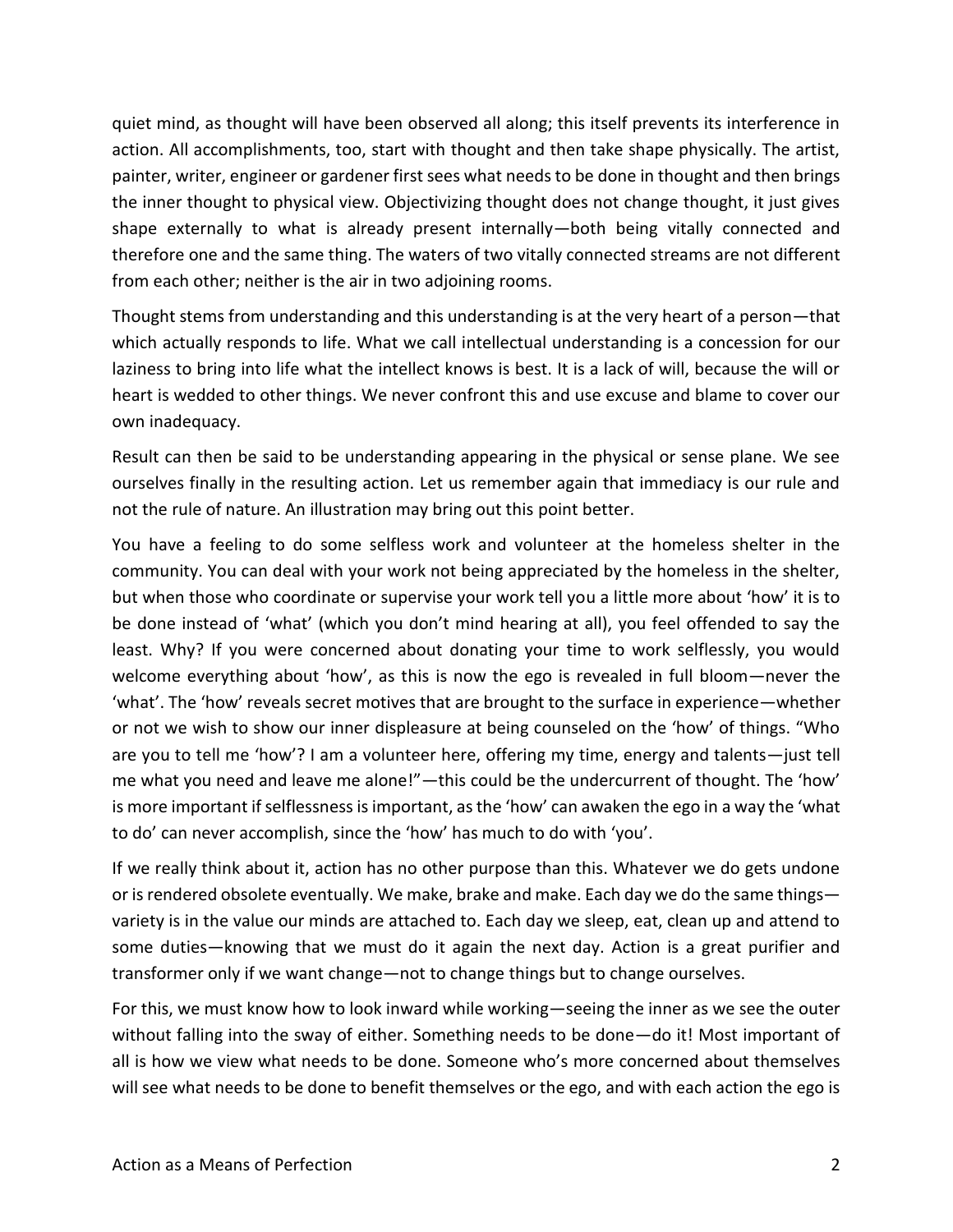quiet mind, as thought will have been observed all along; this itself prevents its interference in action. All accomplishments, too, start with thought and then take shape physically. The artist, painter, writer, engineer or gardener first sees what needs to be done in thought and then brings the inner thought to physical view. Objectivizing thought does not change thought, it just gives shape externally to what is already present internally—both being vitally connected and therefore one and the same thing. The waters of two vitally connected streams are not different from each other; neither is the air in two adjoining rooms.

Thought stems from understanding and this understanding is at the very heart of a person—that which actually responds to life. What we call intellectual understanding is a concession for our laziness to bring into life what the intellect knows is best. It is a lack of will, because the will or heart is wedded to other things. We never confront this and use excuse and blame to cover our own inadequacy.

Result can then be said to be understanding appearing in the physical or sense plane. We see ourselves finally in the resulting action. Let us remember again that immediacy is our rule and not the rule of nature. An illustration may bring out this point better.

You have a feeling to do some selfless work and volunteer at the homeless shelter in the community. You can deal with your work not being appreciated by the homeless in the shelter, but when those who coordinate or supervise your work tell you a little more about 'how' it is to be done instead of 'what' (which you don't mind hearing at all), you feel offended to say the least. Why? If you were concerned about donating your time to work selflessly, you would welcome everything about 'how', as this is now the ego is revealed in full bloom—never the 'what'. The 'how' reveals secret motives that are brought to the surface in experience—whether or not we wish to show our inner displeasure at being counseled on the 'how' of things. "Who are you to tell me 'how'? I am a volunteer here, offering my time, energy and talents—just tell me what you need and leave me alone!"—this could be the undercurrent of thought. The 'how' is more important if selflessness is important, as the 'how' can awaken the ego in a way the 'what to do' can never accomplish, since the 'how' has much to do with 'you'.

If we really think about it, action has no other purpose than this. Whatever we do gets undone or is rendered obsolete eventually. We make, brake and make. Each day we do the same things variety is in the value our minds are attached to. Each day we sleep, eat, clean up and attend to some duties—knowing that we must do it again the next day. Action is a great purifier and transformer only if we want change—not to change things but to change ourselves.

For this, we must know how to look inward while working—seeing the inner as we see the outer without falling into the sway of either. Something needs to be done—do it! Most important of all is how we view what needs to be done. Someone who's more concerned about themselves will see what needs to be done to benefit themselves or the ego, and with each action the ego is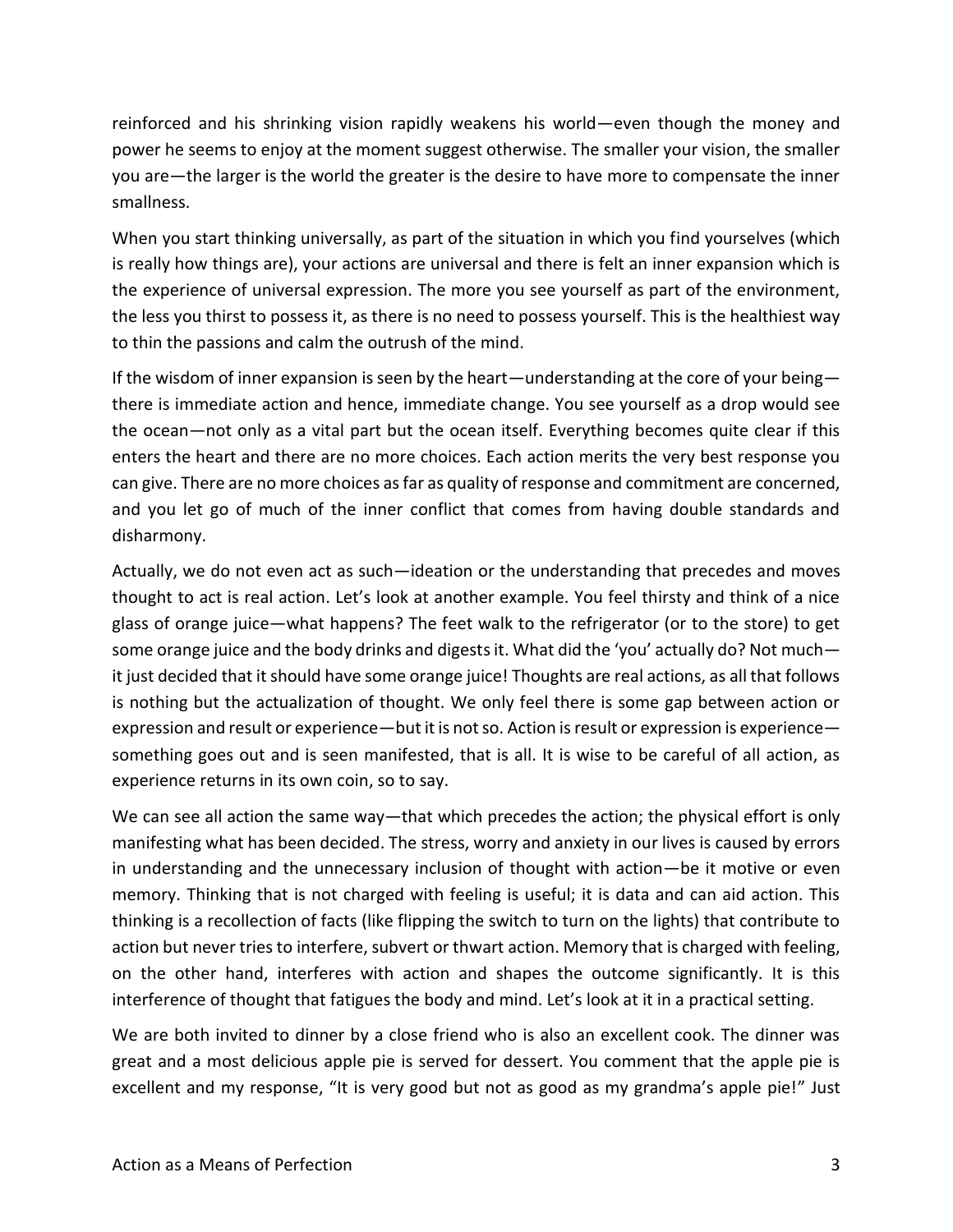reinforced and his shrinking vision rapidly weakens his world—even though the money and power he seems to enjoy at the moment suggest otherwise. The smaller your vision, the smaller you are—the larger is the world the greater is the desire to have more to compensate the inner smallness.

When you start thinking universally, as part of the situation in which you find yourselves (which is really how things are), your actions are universal and there is felt an inner expansion which is the experience of universal expression. The more you see yourself as part of the environment, the less you thirst to possess it, as there is no need to possess yourself. This is the healthiest way to thin the passions and calm the outrush of the mind.

If the wisdom of inner expansion is seen by the heart—understanding at the core of your being there is immediate action and hence, immediate change. You see yourself as a drop would see the ocean—not only as a vital part but the ocean itself. Everything becomes quite clear if this enters the heart and there are no more choices. Each action merits the very best response you can give. There are no more choices as far as quality of response and commitment are concerned, and you let go of much of the inner conflict that comes from having double standards and disharmony.

Actually, we do not even act as such—ideation or the understanding that precedes and moves thought to act is real action. Let's look at another example. You feel thirsty and think of a nice glass of orange juice—what happens? The feet walk to the refrigerator (or to the store) to get some orange juice and the body drinks and digests it. What did the 'you' actually do? Not much it just decided that it should have some orange juice! Thoughts are real actions, as all that follows is nothing but the actualization of thought. We only feel there is some gap between action or expression and result or experience—but it is not so. Action is result or expression is experience something goes out and is seen manifested, that is all. It is wise to be careful of all action, as experience returns in its own coin, so to say.

We can see all action the same way—that which precedes the action; the physical effort is only manifesting what has been decided. The stress, worry and anxiety in our lives is caused by errors in understanding and the unnecessary inclusion of thought with action—be it motive or even memory. Thinking that is not charged with feeling is useful; it is data and can aid action. This thinking is a recollection of facts (like flipping the switch to turn on the lights) that contribute to action but never tries to interfere, subvert or thwart action. Memory that is charged with feeling, on the other hand, interferes with action and shapes the outcome significantly. It is this interference of thought that fatigues the body and mind. Let's look at it in a practical setting.

We are both invited to dinner by a close friend who is also an excellent cook. The dinner was great and a most delicious apple pie is served for dessert. You comment that the apple pie is excellent and my response, "It is very good but not as good as my grandma's apple pie!" Just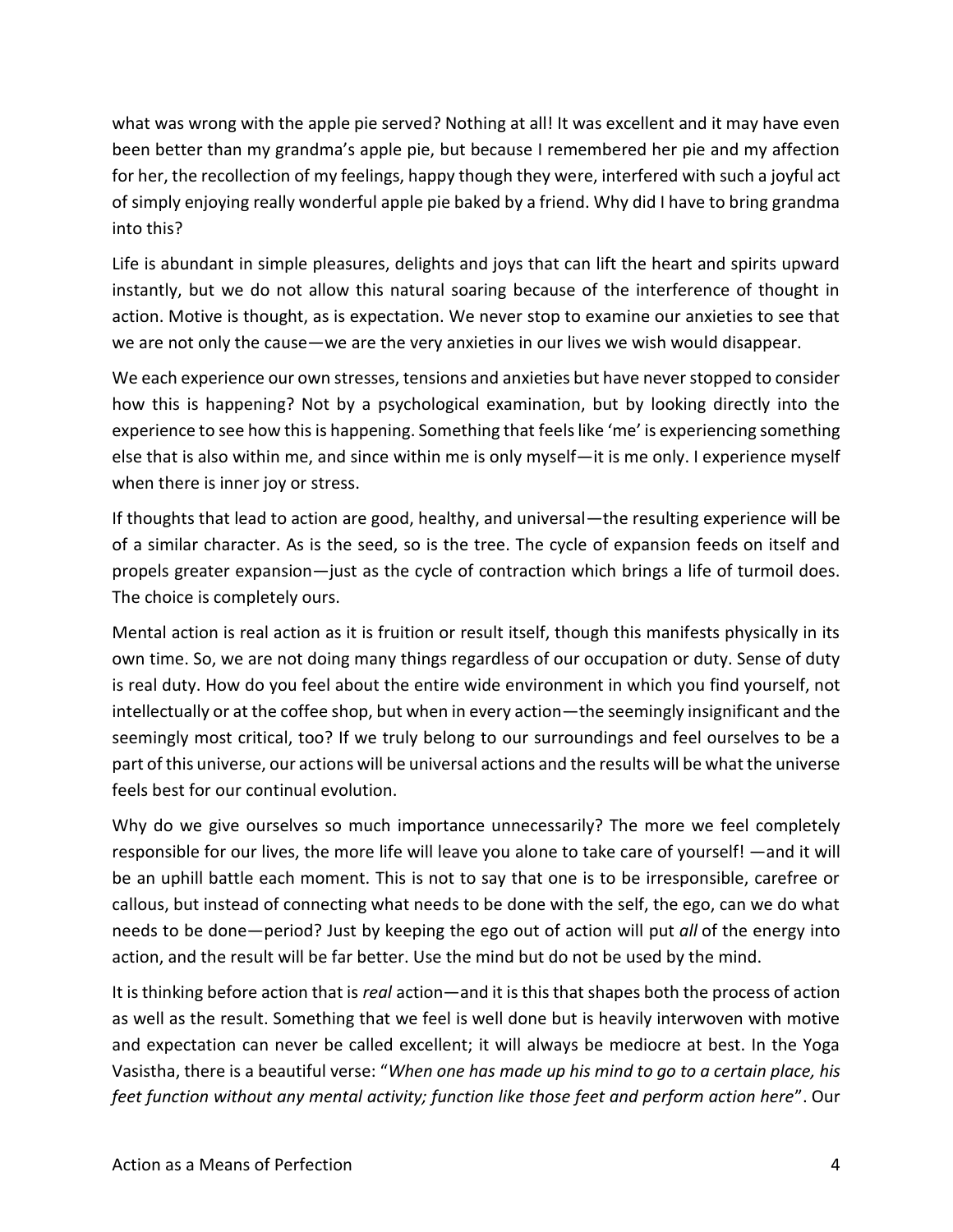what was wrong with the apple pie served? Nothing at all! It was excellent and it may have even been better than my grandma's apple pie, but because I remembered her pie and my affection for her, the recollection of my feelings, happy though they were, interfered with such a joyful act of simply enjoying really wonderful apple pie baked by a friend. Why did I have to bring grandma into this?

Life is abundant in simple pleasures, delights and joys that can lift the heart and spirits upward instantly, but we do not allow this natural soaring because of the interference of thought in action. Motive is thought, as is expectation. We never stop to examine our anxieties to see that we are not only the cause—we are the very anxieties in our lives we wish would disappear.

We each experience our own stresses, tensions and anxieties but have never stopped to consider how this is happening? Not by a psychological examination, but by looking directly into the experience to see how this is happening. Something that feels like 'me' is experiencing something else that is also within me, and since within me is only myself—it is me only. I experience myself when there is inner joy or stress.

If thoughts that lead to action are good, healthy, and universal—the resulting experience will be of a similar character. As is the seed, so is the tree. The cycle of expansion feeds on itself and propels greater expansion—just as the cycle of contraction which brings a life of turmoil does. The choice is completely ours.

Mental action is real action as it is fruition or result itself, though this manifests physically in its own time. So, we are not doing many things regardless of our occupation or duty. Sense of duty is real duty. How do you feel about the entire wide environment in which you find yourself, not intellectually or at the coffee shop, but when in every action—the seemingly insignificant and the seemingly most critical, too? If we truly belong to our surroundings and feel ourselves to be a part of this universe, our actions will be universal actions and the results will be what the universe feels best for our continual evolution.

Why do we give ourselves so much importance unnecessarily? The more we feel completely responsible for our lives, the more life will leave you alone to take care of yourself! —and it will be an uphill battle each moment. This is not to say that one is to be irresponsible, carefree or callous, but instead of connecting what needs to be done with the self, the ego, can we do what needs to be done—period? Just by keeping the ego out of action will put *all* of the energy into action, and the result will be far better. Use the mind but do not be used by the mind.

It is thinking before action that is *real* action—and it is this that shapes both the process of action as well as the result. Something that we feel is well done but is heavily interwoven with motive and expectation can never be called excellent; it will always be mediocre at best. In the Yoga Vasistha, there is a beautiful verse: "*When one has made up his mind to go to a certain place, his feet function without any mental activity; function like those feet and perform action here*". Our